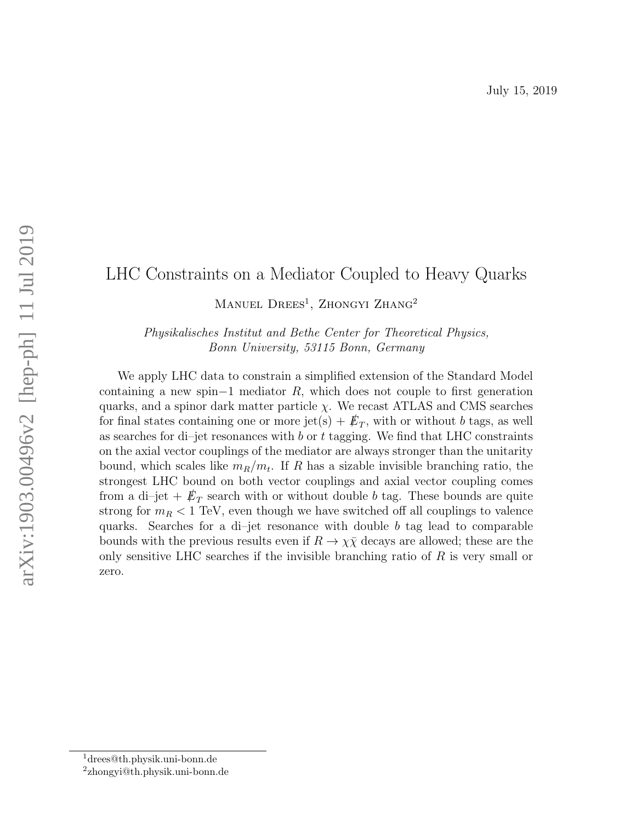# arXiv:1903.00496v2 [hep-ph] 11 Jul 2019 arXiv:1903.00496v2 [hep-ph] 11 Jul 2019

# LHC Constraints on a Mediator Coupled to Heavy Quarks

MANUEL DREES<sup>[1](#page-0-0)</sup>, ZHONGYI ZHANG<sup>[2](#page-0-1)</sup>

Physikalisches Institut and Bethe Center for Theoretical Physics, Bonn University, 53115 Bonn, Germany

We apply LHC data to constrain a simplified extension of the Standard Model containing a new spin−1 mediator R, which does not couple to first generation quarks, and a spinor dark matter particle  $\chi$ . We recast ATLAS and CMS searches for final states containing one or more jet(s)  $+$   $\not\!\!E_T$ , with or without b tags, as well as searches for di–jet resonances with b or t tagging. We find that LHC constraints on the axial vector couplings of the mediator are always stronger than the unitarity bound, which scales like  $m_R/m_t$ . If R has a sizable invisible branching ratio, the strongest LHC bound on both vector couplings and axial vector coupling comes from a di–jet +  $\not{E}_T$  search with or without double b tag. These bounds are quite strong for  $m_R < 1$  TeV, even though we have switched off all couplings to valence quarks. Searches for a di-jet resonance with double  $b$  tag lead to comparable bounds with the previous results even if  $R \to \chi \bar{\chi}$  decays are allowed; these are the only sensitive LHC searches if the invisible branching ratio of  $R$  is very small or zero.

<span id="page-0-0"></span><sup>1</sup>drees@th.physik.uni-bonn.de

<span id="page-0-1"></span><sup>2</sup> zhongyi@th.physik.uni-bonn.de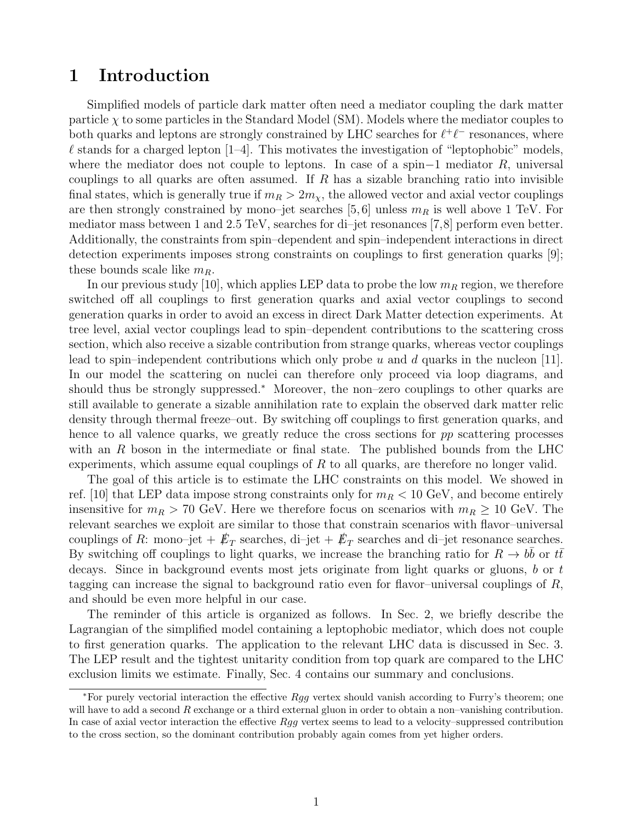# 1 Introduction

Simplified models of particle dark matter often need a mediator coupling the dark matter particle  $\chi$  to some particles in the Standard Model (SM). Models where the mediator couples to both quarks and leptons are strongly constrained by LHC searches for  $\ell^+\ell^-$  resonances, where  $\ell$  stands for a charged lepton [\[1–](#page-11-0)[4\]](#page-11-1). This motivates the investigation of "leptophobic" models, where the mediator does not couple to leptons. In case of a spin–1 mediator  $R$ , universal couplings to all quarks are often assumed. If  $R$  has a sizable branching ratio into invisible final states, which is generally true if  $m_R > 2m_\chi$ , the allowed vector and axial vector couplings are then strongly constrained by mono–jet searches [\[5,](#page-11-2)6] unless  $m_R$  is well above 1 TeV. For mediator mass between 1 and 2.5 TeV, searches for di–jet resonances [\[7,](#page-12-0)[8\]](#page-12-1) perform even better. Additionally, the constraints from spin–dependent and spin–independent interactions in direct detection experiments imposes strong constraints on couplings to first generation quarks [\[9\]](#page-12-2); these bounds scale like  $m_R$ .

In our previous study [\[10\]](#page-12-3), which applies LEP data to probe the low  $m_R$  region, we therefore switched off all couplings to first generation quarks and axial vector couplings to second generation quarks in order to avoid an excess in direct Dark Matter detection experiments. At tree level, axial vector couplings lead to spin–dependent contributions to the scattering cross section, which also receive a sizable contribution from strange quarks, whereas vector couplings lead to spin–independent contributions which only probe u and d quarks in the nucleon [\[11\]](#page-12-4). In our model the scattering on nuclei can therefore only proceed via loop diagrams, and should thus be strongly suppressed.[∗](#page-1-0) Moreover, the non–zero couplings to other quarks are still available to generate a sizable annihilation rate to explain the observed dark matter relic density through thermal freeze–out. By switching off couplings to first generation quarks, and hence to all valence quarks, we greatly reduce the cross sections for pp scattering processes with an R boson in the intermediate or final state. The published bounds from the LHC experiments, which assume equal couplings of  $R$  to all quarks, are therefore no longer valid.

The goal of this article is to estimate the LHC constraints on this model. We showed in ref. [\[10\]](#page-12-3) that LEP data impose strong constraints only for  $m_R < 10 \text{ GeV}$ , and become entirely insensitive for  $m_R > 70$  GeV. Here we therefore focus on scenarios with  $m_R \ge 10$  GeV. The relevant searches we exploit are similar to those that constrain scenarios with flavor–universal couplings of R: mono–jet +  $\not{E}_T$  searches, di–jet +  $\not{E}_T$  searches and di–jet resonance searches. By switching off couplings to light quarks, we increase the branching ratio for  $R \to b\bar{b}$  or  $t\bar{t}$ decays. Since in background events most jets originate from light quarks or gluons, b or t tagging can increase the signal to background ratio even for flavor–universal couplings of  $R$ , and should be even more helpful in our case.

The reminder of this article is organized as follows. In Sec. [2,](#page-2-0) we briefly describe the Lagrangian of the simplified model containing a leptophobic mediator, which does not couple to first generation quarks. The application to the relevant LHC data is discussed in Sec. 3. The LEP result and the tightest unitarity condition from top quark are compared to the LHC exclusion limits we estimate. Finally, Sec. [4](#page-9-0) contains our summary and conclusions.

<span id="page-1-0"></span><sup>∗</sup>For purely vectorial interaction the effective Rgg vertex should vanish according to Furry's theorem; one will have to add a second  $R$  exchange or a third external gluon in order to obtain a non–vanishing contribution. In case of axial vector interaction the effective Rgg vertex seems to lead to a velocity–suppressed contribution to the cross section, so the dominant contribution probably again comes from yet higher orders.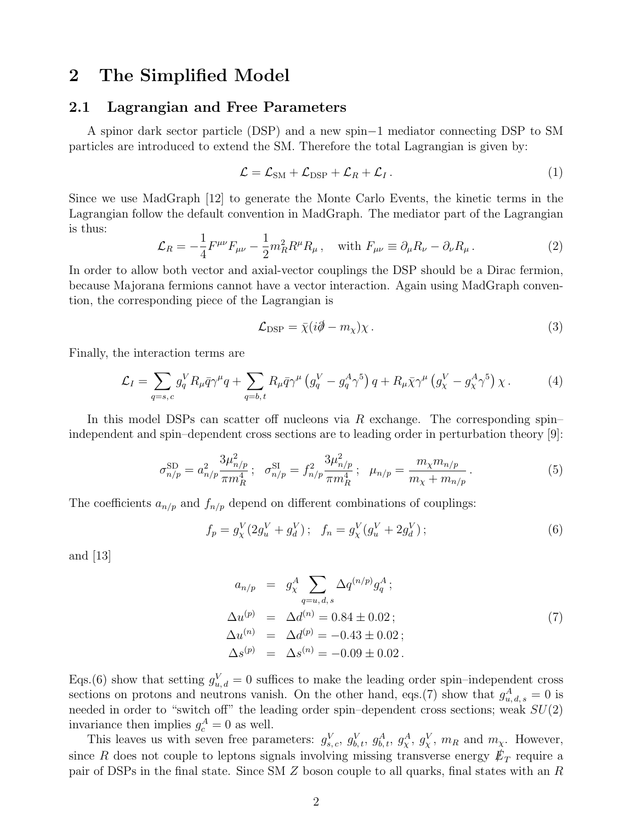# <span id="page-2-0"></span>2 The Simplified Model

### 2.1 Lagrangian and Free Parameters

A spinor dark sector particle (DSP) and a new spin−1 mediator connecting DSP to SM particles are introduced to extend the SM. Therefore the total Lagrangian is given by:

$$
\mathcal{L} = \mathcal{L}_{\text{SM}} + \mathcal{L}_{\text{DSP}} + \mathcal{L}_R + \mathcal{L}_I. \tag{1}
$$

Since we use MadGraph [\[12\]](#page-12-5) to generate the Monte Carlo Events, the kinetic terms in the Lagrangian follow the default convention in MadGraph. The mediator part of the Lagrangian is thus:

$$
\mathcal{L}_R = -\frac{1}{4} F^{\mu\nu} F_{\mu\nu} - \frac{1}{2} m_R^2 R^\mu R_\mu \,, \quad \text{with } F_{\mu\nu} \equiv \partial_\mu R_\nu - \partial_\nu R_\mu \,. \tag{2}
$$

In order to allow both vector and axial-vector couplings the DSP should be a Dirac fermion, because Majorana fermions cannot have a vector interaction. Again using MadGraph convention, the corresponding piece of the Lagrangian is

$$
\mathcal{L}_{\text{DSP}} = \bar{\chi}(i\partial \!\!\! / - m_{\chi})\chi. \tag{3}
$$

Finally, the interaction terms are

$$
\mathcal{L}_I = \sum_{q=s,c} g_q^V R_\mu \bar{q} \gamma^\mu q + \sum_{q=b,t} R_\mu \bar{q} \gamma^\mu \left( g_q^V - g_q^A \gamma^5 \right) q + R_\mu \bar{\chi} \gamma^\mu \left( g_\chi^V - g_\chi^A \gamma^5 \right) \chi \,. \tag{4}
$$

In this model DSPs can scatter off nucleons via  $R$  exchange. The corresponding spin– independent and spin–dependent cross sections are to leading order in perturbation theory [\[9\]](#page-12-2):

$$
\sigma_{n/p}^{\text{SD}} = a_{n/p}^2 \frac{3\mu_{n/p}^2}{\pi m_R^4}; \quad \sigma_{n/p}^{\text{SI}} = f_{n/p}^2 \frac{3\mu_{n/p}^2}{\pi m_R^4}; \quad \mu_{n/p} = \frac{m_\chi m_{n/p}}{m_\chi + m_{n/p}}.
$$
 (5)

The coefficients  $a_{n/p}$  and  $f_{n/p}$  depend on different combinations of couplings:

<span id="page-2-1"></span>
$$
f_p = g^V_\chi(2g^V_u + g^V_d); \quad f_n = g^V_\chi(g^V_u + 2g^V_d); \tag{6}
$$

and  $|13|$ 

<span id="page-2-2"></span>
$$
a_{n/p} = g_{\chi}^{A} \sum_{q=u,d,s} \Delta q^{(n/p)} g_{q}^{A} ;
$$
  
\n
$$
\Delta u^{(p)} = \Delta d^{(n)} = 0.84 \pm 0.02 ;
$$
  
\n
$$
\Delta u^{(n)} = \Delta d^{(p)} = -0.43 \pm 0.02 ;
$$
  
\n
$$
\Delta s^{(p)} = \Delta s^{(n)} = -0.09 \pm 0.02 .
$$
\n(7)

Eqs.[\(6\)](#page-2-1) show that setting  $g_{u,d}^V = 0$  suffices to make the leading order spin–independent cross sections on protons and neutrons vanish. On the other hand, eqs.[\(7\)](#page-2-2) show that  $g_{u,d,s}^A = 0$  is needed in order to "switch off" the leading order spin–dependent cross sections; weak  $SU(2)$ invariance then implies  $g_c^A = 0$  as well.

This leaves us with seven free parameters:  $g_{s,c}^V$ ,  $g_{b,t}^V$ ,  $g_{b,t}^A$ ,  $g_{\chi}^A$ ,  $g_{\chi}^V$ ,  $m_R$  and  $m_{\chi}$ . However, since R does not couple to leptons signals involving missing transverse energy  $\not{E}_T$  require a pair of DSPs in the final state. Since SM  $Z$  boson couple to all quarks, final states with an  $R$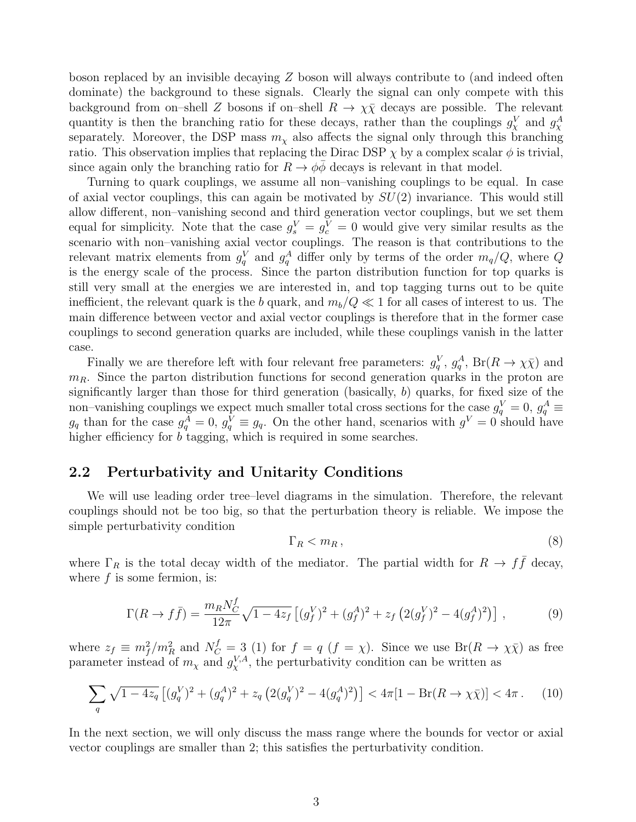boson replaced by an invisible decaying Z boson will always contribute to (and indeed often dominate) the background to these signals. Clearly the signal can only compete with this background from on–shell Z bosons if on–shell  $R \to \chi \bar{\chi}$  decays are possible. The relevant quantity is then the branching ratio for these decays, rather than the couplings  $g_{\chi}^V$  and  $g_{\chi}^A$ separately. Moreover, the DSP mass  $m<sub>x</sub>$  also affects the signal only through this branching ratio. This observation implies that replacing the Dirac DSP  $\chi$  by a complex scalar  $\phi$  is trivial, since again only the branching ratio for  $R \to \phi\phi$  decays is relevant in that model.

Turning to quark couplings, we assume all non–vanishing couplings to be equal. In case of axial vector couplings, this can again be motivated by  $SU(2)$  invariance. This would still allow different, non–vanishing second and third generation vector couplings, but we set them equal for simplicity. Note that the case  $g_s^V = g_c^V = 0$  would give very similar results as the scenario with non–vanishing axial vector couplings. The reason is that contributions to the relevant matrix elements from  $g_q^V$  and  $g_q^A$  differ only by terms of the order  $m_q/Q$ , where Q is the energy scale of the process. Since the parton distribution function for top quarks is still very small at the energies we are interested in, and top tagging turns out to be quite inefficient, the relevant quark is the b quark, and  $m_b/Q \ll 1$  for all cases of interest to us. The main difference between vector and axial vector couplings is therefore that in the former case couplings to second generation quarks are included, while these couplings vanish in the latter case.

Finally we are therefore left with four relevant free parameters:  $g_q^V$ ,  $g_q^A$ , Br $(R \to \chi \bar{\chi})$  and  $m_R$ . Since the parton distribution functions for second generation quarks in the proton are significantly larger than those for third generation (basically, b) quarks, for fixed size of the non–vanishing couplings we expect much smaller total cross sections for the case  $g_q^V = 0$ ,  $g_q^A \equiv$  $g_q$  than for the case  $g_q^A = 0$ ,  $g_q^V \equiv g_q$ . On the other hand, scenarios with  $g^V = 0$  should have higher efficiency for *b* tagging, which is required in some searches.

### 2.2 Perturbativity and Unitarity Conditions

We will use leading order tree–level diagrams in the simulation. Therefore, the relevant couplings should not be too big, so that the perturbation theory is reliable. We impose the simple perturbativity condition

$$
\Gamma_R < m_R \,,\tag{8}
$$

where  $\Gamma_R$  is the total decay width of the mediator. The partial width for  $R \to f\bar{f}$  decay, where  $f$  is some fermion, is:

$$
\Gamma(R \to f\bar{f}) = \frac{m_R N_C^f}{12\pi} \sqrt{1 - 4z_f} \left[ (g_f^V)^2 + (g_f^A)^2 + z_f \left( 2(g_f^V)^2 - 4(g_f^A)^2 \right) \right],\tag{9}
$$

where  $z_f \equiv m_f^2/m_R^2$  and  $N_C^f = 3$  (1) for  $f = q$  ( $f = \chi$ ). Since we use  $Br(R \to \chi \bar{\chi})$  as free parameter instead of  $m_{\chi}$  and  $g_{\chi}^{V,A}$ , the perturbativity condition can be written as

$$
\sum_{q} \sqrt{1 - 4z_q} \left[ (g_q^V)^2 + (g_q^A)^2 + z_q \left( 2(g_q^V)^2 - 4(g_q^A)^2 \right) \right] < 4\pi [1 - \text{Br}(R \to \chi \bar{\chi})] < 4\pi \,. \tag{10}
$$

In the next section, we will only discuss the mass range where the bounds for vector or axial vector couplings are smaller than 2; this satisfies the perturbativity condition.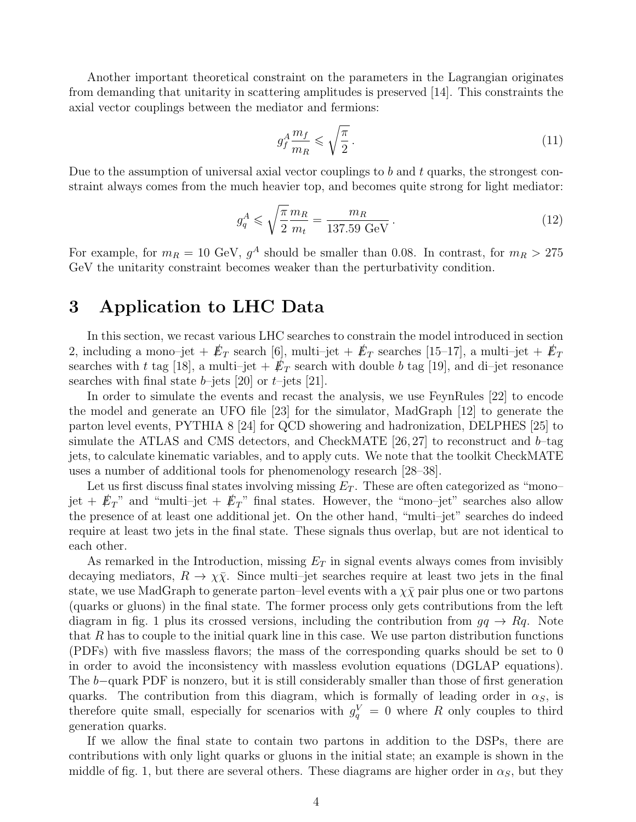Another important theoretical constraint on the parameters in the Lagrangian originates from demanding that unitarity in scattering amplitudes is preserved [\[14\]](#page-12-7). This constraints the axial vector couplings between the mediator and fermions:

$$
g_f^A \frac{m_f}{m_R} \leqslant \sqrt{\frac{\pi}{2}} \,. \tag{11}
$$

Due to the assumption of universal axial vector couplings to b and t quarks, the strongest constraint always comes from the much heavier top, and becomes quite strong for light mediator:

<span id="page-4-0"></span>
$$
g_q^A \leqslant \sqrt{\frac{\pi}{2}} \frac{m_R}{m_t} = \frac{m_R}{137.59 \text{ GeV}}.
$$
 (12)

For example, for  $m_R = 10$  GeV,  $g^A$  should be smaller than 0.08. In contrast, for  $m_R > 275$ GeV the unitarity constraint becomes weaker than the perturbativity condition.

# 3 Application to LHC Data

In this section, we recast various LHC searches to constrain the model introduced in section [2,](#page-2-0) including a mono–jet +  $\not{E}_T$  search [\[6\]](#page-11-3), multi–jet +  $\not{E}_T$  searches [\[15–](#page-12-8)[17\]](#page-12-9), a multi–jet +  $\not{E}_T$ searches with t tag [\[18\]](#page-12-10), a multi-jet +  $\not{E}_T$  search with double b tag [\[19\]](#page-12-11), and di-jet resonance searches with final state *b*–jets [\[20\]](#page-12-12) or *t*–jets [\[21\]](#page-12-13).

In order to simulate the events and recast the analysis, we use FeynRules [\[22\]](#page-13-0) to encode the model and generate an UFO file [\[23\]](#page-13-1) for the simulator, MadGraph [\[12\]](#page-12-5) to generate the parton level events, PYTHIA 8 [\[24\]](#page-13-2) for QCD showering and hadronization, DELPHES [\[25\]](#page-13-3) to simulate the ATLAS and CMS detectors, and CheckMATE  $[26, 27]$  $[26, 27]$  to reconstruct and b-tag jets, to calculate kinematic variables, and to apply cuts. We note that the toolkit CheckMATE uses a number of additional tools for phenomenology research [\[28–](#page-13-6)[38\]](#page-14-0).

Let us first discuss final states involving missing  $E_T$ . These are often categorized as "monojet +  $\not{E}_T$ " and "multi-jet +  $\not{E}_T$ " final states. However, the "mono-jet" searches also allow the presence of at least one additional jet. On the other hand, "multi–jet" searches do indeed require at least two jets in the final state. These signals thus overlap, but are not identical to each other.

As remarked in the Introduction, missing  $E_T$  in signal events always comes from invisibly decaying mediators,  $R \to \chi \bar{\chi}$ . Since multi-jet searches require at least two jets in the final state, we use MadGraph to generate parton–level events with a  $\chi \bar{\chi}$  pair plus one or two partons (quarks or gluons) in the final state. The former process only gets contributions from the left diagram in fig. [1](#page-5-0) plus its crossed versions, including the contribution from  $gq \to Rq$ . Note that  $R$  has to couple to the initial quark line in this case. We use parton distribution functions (PDFs) with five massless flavors; the mass of the corresponding quarks should be set to 0 in order to avoid the inconsistency with massless evolution equations (DGLAP equations). The b−quark PDF is nonzero, but it is still considerably smaller than those of first generation quarks. The contribution from this diagram, which is formally of leading order in  $\alpha_s$ , is therefore quite small, especially for scenarios with  $g_q^V = 0$  where R only couples to third generation quarks.

If we allow the final state to contain two partons in addition to the DSPs, there are contributions with only light quarks or gluons in the initial state; an example is shown in the middle of fig. [1,](#page-5-0) but there are several others. These diagrams are higher order in  $\alpha_S$ , but they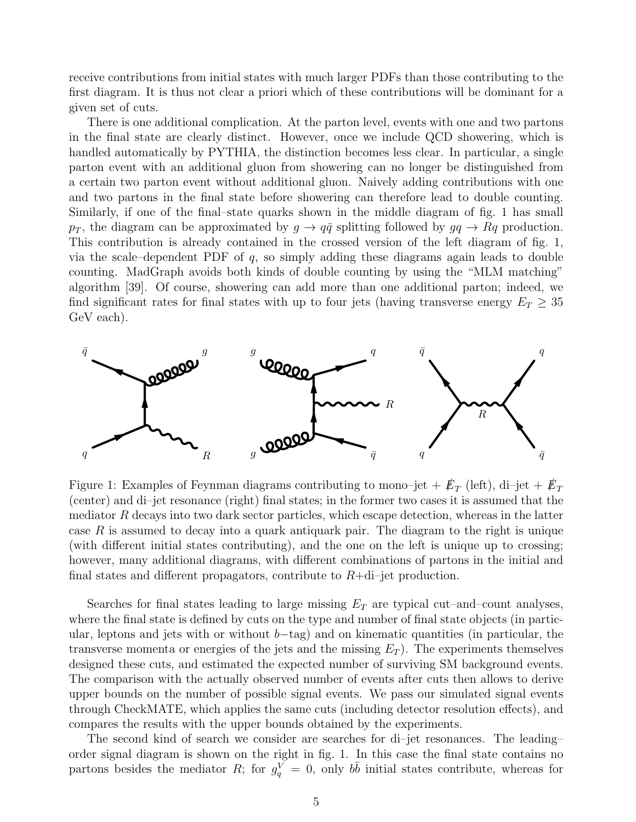receive contributions from initial states with much larger PDFs than those contributing to the first diagram. It is thus not clear a priori which of these contributions will be dominant for a given set of cuts.

There is one additional complication. At the parton level, events with one and two partons in the final state are clearly distinct. However, once we include QCD showering, which is handled automatically by PYTHIA, the distinction becomes less clear. In particular, a single parton event with an additional gluon from showering can no longer be distinguished from a certain two parton event without additional gluon. Naively adding contributions with one and two partons in the final state before showering can therefore lead to double counting. Similarly, if one of the final–state quarks shown in the middle diagram of fig. [1](#page-5-0) has small  $p_T$ , the diagram can be approximated by  $g \to q\bar{q}$  splitting followed by  $g\bar{q} \to R\bar{q}$  production. This contribution is already contained in the crossed version of the left diagram of fig. [1,](#page-5-0) via the scale–dependent PDF of  $q$ , so simply adding these diagrams again leads to double counting. MadGraph avoids both kinds of double counting by using the "MLM matching" algorithm [\[39\]](#page-14-1). Of course, showering can add more than one additional parton; indeed, we find significant rates for final states with up to four jets (having transverse energy  $E_T \geq 35$ GeV each).



<span id="page-5-0"></span>Figure 1: Examples of Feynman diagrams contributing to mono–jet +  $\not{E}_T$  (left), di–jet +  $\not{E}_T$ (center) and di–jet resonance (right) final states; in the former two cases it is assumed that the mediator  $R$  decays into two dark sector particles, which escape detection, whereas in the latter case  $R$  is assumed to decay into a quark antiquark pair. The diagram to the right is unique (with different initial states contributing), and the one on the left is unique up to crossing; however, many additional diagrams, with different combinations of partons in the initial and final states and different propagators, contribute to  $R+\text{di}-\text{jet}$  production.

Searches for final states leading to large missing  $E_T$  are typical cut–and–count analyses, where the final state is defined by cuts on the type and number of final state objects (in particular, leptons and jets with or without  $b-\text{tag}$  and on kinematic quantities (in particular, the transverse momenta or energies of the jets and the missing  $E_T$ ). The experiments themselves designed these cuts, and estimated the expected number of surviving SM background events. The comparison with the actually observed number of events after cuts then allows to derive upper bounds on the number of possible signal events. We pass our simulated signal events through CheckMATE, which applies the same cuts (including detector resolution effects), and compares the results with the upper bounds obtained by the experiments.

The second kind of search we consider are searches for di–jet resonances. The leading– order signal diagram is shown on the right in fig. [1.](#page-5-0) In this case the final state contains no partons besides the mediator R; for  $g_{q}^{V} = 0$ , only  $b\bar{b}$  initial states contribute, whereas for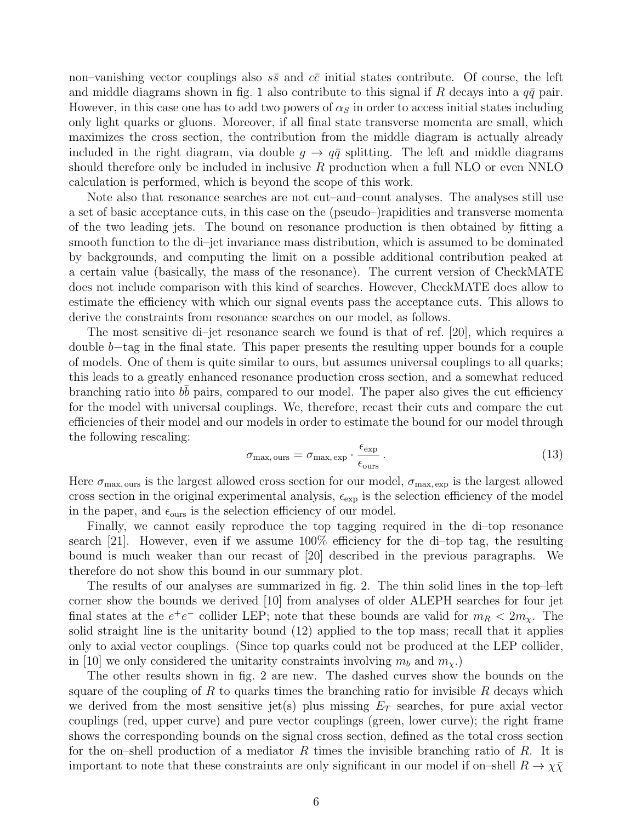non–vanishing vector couplings also  $s\bar{s}$  and  $c\bar{c}$  initial states contribute. Of course, the left and middle diagrams shown in fig. [1](#page-5-0) also contribute to this signal if R decays into a  $q\bar{q}$  pair. However, in this case one has to add two powers of  $\alpha<sub>S</sub>$  in order to access initial states including only light quarks or gluons. Moreover, if all final state transverse momenta are small, which maximizes the cross section, the contribution from the middle diagram is actually already included in the right diagram, via double  $g \to q\bar{q}$  splitting. The left and middle diagrams should therefore only be included in inclusive  $R$  production when a full NLO or even NNLO calculation is performed, which is beyond the scope of this work.

Note also that resonance searches are not cut–and–count analyses. The analyses still use a set of basic acceptance cuts, in this case on the (pseudo–)rapidities and transverse momenta of the two leading jets. The bound on resonance production is then obtained by fitting a smooth function to the di–jet invariance mass distribution, which is assumed to be dominated by backgrounds, and computing the limit on a possible additional contribution peaked at a certain value (basically, the mass of the resonance). The current version of CheckMATE does not include comparison with this kind of searches. However, CheckMATE does allow to estimate the efficiency with which our signal events pass the acceptance cuts. This allows to derive the constraints from resonance searches on our model, as follows.

The most sensitive di–jet resonance search we found is that of ref. [\[20\]](#page-12-12), which requires a double b−tag in the final state. This paper presents the resulting upper bounds for a couple of models. One of them is quite similar to ours, but assumes universal couplings to all quarks; this leads to a greatly enhanced resonance production cross section, and a somewhat reduced branching ratio into  $b\bar{b}$  pairs, compared to our model. The paper also gives the cut efficiency for the model with universal couplings. We, therefore, recast their cuts and compare the cut efficiencies of their model and our models in order to estimate the bound for our model through the following rescaling:

$$
\sigma_{\text{max, ours}} = \sigma_{\text{max,exp}} \cdot \frac{\epsilon_{\text{exp}}}{\epsilon_{\text{ours}}} \,. \tag{13}
$$

Here  $\sigma_{\text{max, ours}}$  is the largest allowed cross section for our model,  $\sigma_{\text{max, exp}}$  is the largest allowed cross section in the original experimental analysis,  $\epsilon_{\exp}$  is the selection efficiency of the model in the paper, and  $\epsilon_{\text{ours}}$  is the selection efficiency of our model.

Finally, we cannot easily reproduce the top tagging required in the di–top resonance search [\[21\]](#page-12-13). However, even if we assume  $100\%$  efficiency for the di-top tag, the resulting bound is much weaker than our recast of [\[20\]](#page-12-12) described in the previous paragraphs. We therefore do not show this bound in our summary plot.

The results of our analyses are summarized in fig. [2.](#page-7-0) The thin solid lines in the top–left corner show the bounds we derived [\[10\]](#page-12-3) from analyses of older ALEPH searches for four jet final states at the  $e^+e^-$  collider LEP; note that these bounds are valid for  $m_R < 2m_\chi$ . The solid straight line is the unitarity bound [\(12\)](#page-4-0) applied to the top mass; recall that it applies only to axial vector couplings. (Since top quarks could not be produced at the LEP collider, in [\[10\]](#page-12-3) we only considered the unitarity constraints involving  $m_b$  and  $m_{\chi}$ .)

The other results shown in fig. [2](#page-7-0) are new. The dashed curves show the bounds on the square of the coupling of R to quarks times the branching ratio for invisible R decays which we derived from the most sensitive jet(s) plus missing  $E_T$  searches, for pure axial vector couplings (red, upper curve) and pure vector couplings (green, lower curve); the right frame shows the corresponding bounds on the signal cross section, defined as the total cross section for the on–shell production of a mediator R times the invisible branching ratio of R. It is important to note that these constraints are only significant in our model if on–shell  $R \to \chi \bar{\chi}$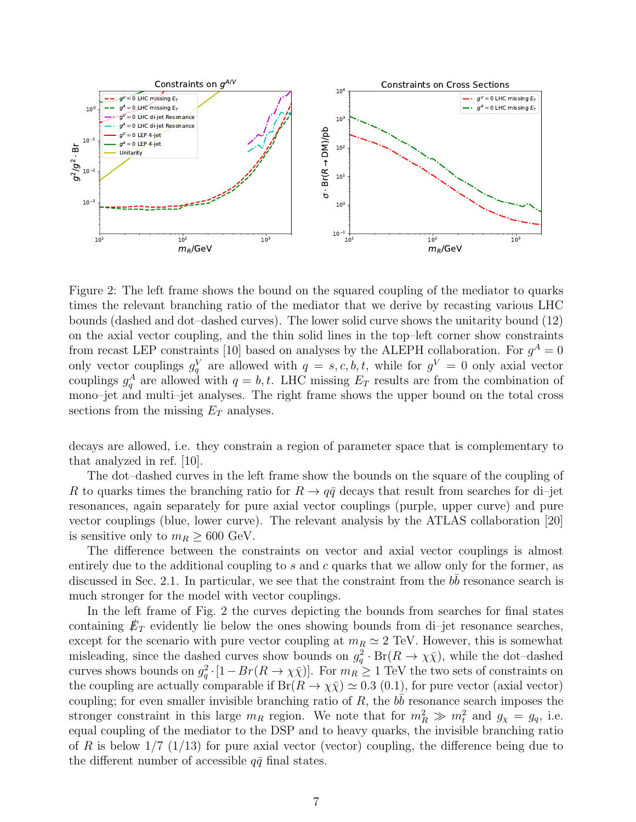

<span id="page-7-0"></span>Figure 2: The left frame shows the bound on the squared coupling of the mediator to quarks times the relevant branching ratio of the mediator that we derive by recasting various LHC bounds (dashed and dot–dashed curves). The lower solid curve shows the unitarity bound [\(12\)](#page-4-0) on the axial vector coupling, and the thin solid lines in the top–left corner show constraints from recast LEP constraints [\[10\]](#page-12-3) based on analyses by the ALEPH collaboration. For  $g^A = 0$ only vector couplings  $g_q^V$  are allowed with  $q = s, c, b, t$ , while for  $g^V = 0$  only axial vector couplings  $g_q^A$  are allowed with  $q = b, t$ . LHC missing  $E_T$  results are from the combination of mono–jet and multi–jet analyses. The right frame shows the upper bound on the total cross sections from the missing  $E_T$  analyses.

decays are allowed, i.e. they constrain a region of parameter space that is complementary to that analyzed in ref. [\[10\]](#page-12-3).

The dot–dashed curves in the left frame show the bounds on the square of the coupling of R to quarks times the branching ratio for  $R \to q\bar{q}$  decays that result from searches for di–jet resonances, again separately for pure axial vector couplings (purple, upper curve) and pure vector couplings (blue, lower curve). The relevant analysis by the ATLAS collaboration [\[20\]](#page-12-12) is sensitive only to  $m_R \geq 600$  GeV.

The difference between the constraints on vector and axial vector couplings is almost entirely due to the additional coupling to s and c quarks that we allow only for the former, as discussed in Sec. 2.1. In particular, we see that the constraint from the  $b\bar{b}$  resonance search is much stronger for the model with vector couplings.

In the left frame of Fig. [2](#page-7-0) the curves depicting the bounds from searches for final states containing  $E_T$  evidently lie below the ones showing bounds from di-jet resonance searches, except for the scenario with pure vector coupling at  $m_R \simeq 2 \text{ TeV}$ . However, this is somewhat misleading, since the dashed curves show bounds on  $g_q^2 \cdot Br(R \to \chi \bar{\chi})$ , while the dot-dashed curves shows bounds on  $g_q^2$  · [1 –  $Br(R \to \chi \bar{\chi})$ ]. For  $m_R \geq 1$  TeV the two sets of constraints on the coupling are actually comparable if  $Br(R \to \chi \bar{\chi}) \simeq 0.3$  (0.1), for pure vector (axial vector) coupling; for even smaller invisible branching ratio of R, the  $b\overline{b}$  resonance search imposes the stronger constraint in this large  $m_R$  region. We note that for  $m_R^2 \gg m_t^2$  and  $g_\chi = g_q$ , i.e. equal coupling of the mediator to the DSP and to heavy quarks, the invisible branching ratio of R is below  $1/7$  (1/13) for pure axial vector (vector) coupling, the difference being due to the different number of accessible  $q\bar{q}$  final states.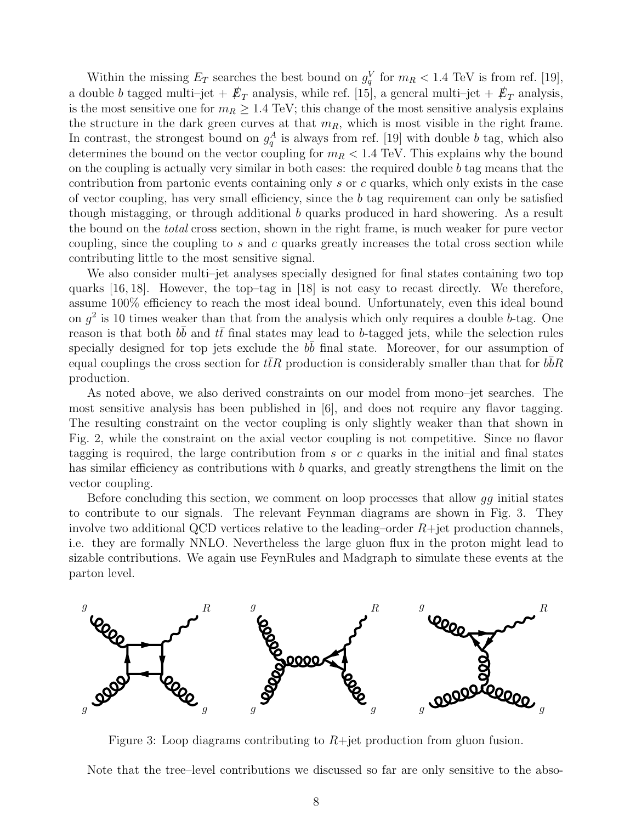Within the missing  $E_T$  searches the best bound on  $g_q^V$  for  $m_R < 1.4$  TeV is from ref. [\[19\]](#page-12-11), a double b tagged multi-jet +  $\not{E}_T$  analysis, while ref. [\[15\]](#page-12-8), a general multi-jet +  $\not{E}_T$  analysis, is the most sensitive one for  $m_R \geq 1.4$  TeV; this change of the most sensitive analysis explains the structure in the dark green curves at that  $m_R$ , which is most visible in the right frame. In contrast, the strongest bound on  $g_q^A$  is always from ref. [\[19\]](#page-12-11) with double b tag, which also determines the bound on the vector coupling for  $m_R < 1.4$  TeV. This explains why the bound on the coupling is actually very similar in both cases: the required double  $b$  tag means that the contribution from partonic events containing only s or c quarks, which only exists in the case of vector coupling, has very small efficiency, since the  $b$  tag requirement can only be satisfied though mistagging, or through additional b quarks produced in hard showering. As a result the bound on the total cross section, shown in the right frame, is much weaker for pure vector coupling, since the coupling to s and c quarks greatly increases the total cross section while contributing little to the most sensitive signal.

We also consider multi–jet analyses specially designed for final states containing two top quarks [\[16,](#page-12-14) [18\]](#page-12-10). However, the top–tag in [\[18\]](#page-12-10) is not easy to recast directly. We therefore, assume 100% efficiency to reach the most ideal bound. Unfortunately, even this ideal bound on  $g^2$  is 10 times weaker than that from the analysis which only requires a double b-tag. One reason is that both  $b\bar{b}$  and  $t\bar{t}$  final states may lead to b-tagged jets, while the selection rules specially designed for top jets exclude the  $b\bar{b}$  final state. Moreover, for our assumption of equal couplings the cross section for  $\bar{t}R$  production is considerably smaller than that for  $b\bar{b}R$ production.

As noted above, we also derived constraints on our model from mono–jet searches. The most sensitive analysis has been published in [\[6\]](#page-11-3), and does not require any flavor tagging. The resulting constraint on the vector coupling is only slightly weaker than that shown in Fig. [2,](#page-7-0) while the constraint on the axial vector coupling is not competitive. Since no flavor tagging is required, the large contribution from  $s$  or  $c$  quarks in the initial and final states has similar efficiency as contributions with  $b$  quarks, and greatly strengthens the limit on the vector coupling.

Before concluding this section, we comment on loop processes that allow  $gg$  initial states to contribute to our signals. The relevant Feynman diagrams are shown in Fig. [3.](#page-8-0) They involve two additional QCD vertices relative to the leading–order  $R+$  jet production channels, i.e. they are formally NNLO. Nevertheless the large gluon flux in the proton might lead to sizable contributions. We again use FeynRules and Madgraph to simulate these events at the parton level.



<span id="page-8-0"></span>Figure 3: Loop diagrams contributing to  $R+$ jet production from gluon fusion.

Note that the tree–level contributions we discussed so far are only sensitive to the abso-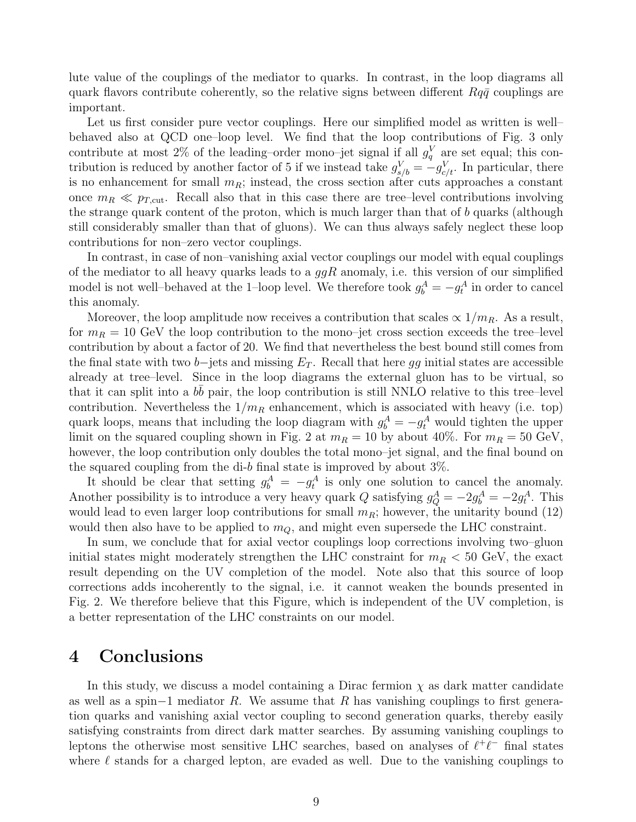lute value of the couplings of the mediator to quarks. In contrast, in the loop diagrams all quark flavors contribute coherently, so the relative signs between different  $Rq\bar{q}$  couplings are important.

Let us first consider pure vector couplings. Here our simplified model as written is well– behaved also at QCD one–loop level. We find that the loop contributions of Fig. [3](#page-8-0) only contribute at most 2% of the leading–order mono–jet signal if all  $g_q^V$  are set equal; this contribution is reduced by another factor of 5 if we instead take  $g_{s/b}^V = -g_{c/t}^V$ . In particular, there is no enhancement for small  $m_R$ ; instead, the cross section after cuts approaches a constant once  $m_R \ll p_{T,\text{cut}}$ . Recall also that in this case there are tree–level contributions involving the strange quark content of the proton, which is much larger than that of b quarks (although still considerably smaller than that of gluons). We can thus always safely neglect these loop contributions for non–zero vector couplings.

In contrast, in case of non–vanishing axial vector couplings our model with equal couplings of the mediator to all heavy quarks leads to a  $ggR$  anomaly, i.e. this version of our simplified model is not well-behaved at the 1-loop level. We therefore took  $g_b^A = -g_t^A$  in order to cancel this anomaly.

Moreover, the loop amplitude now receives a contribution that scales  $\propto 1/m_R$ . As a result, for  $m_R = 10$  GeV the loop contribution to the mono–jet cross section exceeds the tree–level contribution by about a factor of 20. We find that nevertheless the best bound still comes from the final state with two b−jets and missing  $E_T$ . Recall that here gg initial states are accessible already at tree–level. Since in the loop diagrams the external gluon has to be virtual, so that it can split into a  $b\bar{b}$  pair, the loop contribution is still NNLO relative to this tree–level contribution. Nevertheless the  $1/m_R$  enhancement, which is associated with heavy (i.e. top) quark loops, means that including the loop diagram with  $g_b^A = -g_t^A$  would tighten the upper limit on the squared coupling shown in Fig. [2](#page-7-0) at  $m_R = 10$  by about 40%. For  $m_R = 50 \text{ GeV}$ , however, the loop contribution only doubles the total mono–jet signal, and the final bound on the squared coupling from the di-b final state is improved by about  $3\%$ .

It should be clear that setting  $g_b^A = -g_t^A$  is only one solution to cancel the anomaly. Another possibility is to introduce a very heavy quark Q satisfying  $g_Q^A = -2g_b^A = -2g_t^A$ . This would lead to even larger loop contributions for small  $m<sub>R</sub>$ ; however, the unitarity bound [\(12\)](#page-4-0) would then also have to be applied to  $m_Q$ , and might even supersede the LHC constraint.

In sum, we conclude that for axial vector couplings loop corrections involving two–gluon initial states might moderately strengthen the LHC constraint for  $m_R < 50$  GeV, the exact result depending on the UV completion of the model. Note also that this source of loop corrections adds incoherently to the signal, i.e. it cannot weaken the bounds presented in Fig. [2.](#page-7-0) We therefore believe that this Figure, which is independent of the UV completion, is a better representation of the LHC constraints on our model.

# <span id="page-9-0"></span>4 Conclusions

In this study, we discuss a model containing a Dirac fermion  $\chi$  as dark matter candidate as well as a spin−1 mediator R. We assume that R has vanishing couplings to first generation quarks and vanishing axial vector coupling to second generation quarks, thereby easily satisfying constraints from direct dark matter searches. By assuming vanishing couplings to leptons the otherwise most sensitive LHC searches, based on analyses of  $\ell^+\ell^-$  final states where  $\ell$  stands for a charged lepton, are evaded as well. Due to the vanishing couplings to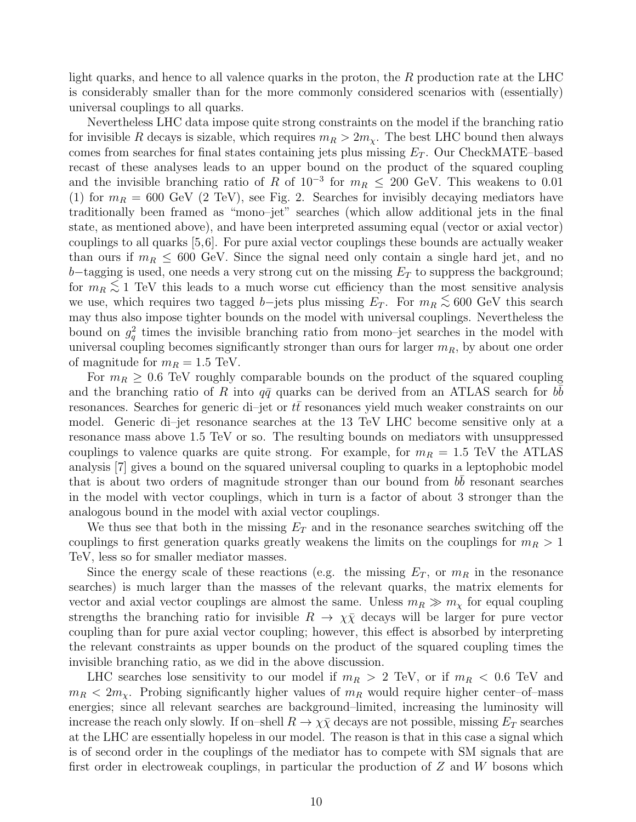light quarks, and hence to all valence quarks in the proton, the  $R$  production rate at the LHC is considerably smaller than for the more commonly considered scenarios with (essentially) universal couplings to all quarks.

Nevertheless LHC data impose quite strong constraints on the model if the branching ratio for invisible R decays is sizable, which requires  $m_R > 2m_\chi$ . The best LHC bound then always comes from searches for final states containing jets plus missing  $E_T$ . Our CheckMATE–based recast of these analyses leads to an upper bound on the product of the squared coupling and the invisible branching ratio of R of  $10^{-3}$  for  $m_R \leq 200$  GeV. This weakens to 0.01 (1) for  $m_R = 600$  GeV (2 TeV), see Fig. [2.](#page-7-0) Searches for invisibly decaying mediators have traditionally been framed as "mono–jet" searches (which allow additional jets in the final state, as mentioned above), and have been interpreted assuming equal (vector or axial vector) couplings to all quarks [\[5,](#page-11-2)[6\]](#page-11-3). For pure axial vector couplings these bounds are actually weaker than ours if  $m_R \leq 600$  GeV. Since the signal need only contain a single hard jet, and no b−tagging is used, one needs a very strong cut on the missing  $E_T$  to suppress the background; for  $m_R \lesssim 1$  TeV this leads to a much worse cut efficiency than the most sensitive analysis we use, which requires two tagged b–jets plus missing  $E_T$ . For  $m_R \lesssim 600$  GeV this search may thus also impose tighter bounds on the model with universal couplings. Nevertheless the bound on  $g_q^2$  times the invisible branching ratio from mono-jet searches in the model with universal coupling becomes significantly stronger than ours for larger  $m_R$ , by about one order of magnitude for  $m_R = 1.5$  TeV.

For  $m_R \geq 0.6$  TeV roughly comparable bounds on the product of the squared coupling and the branching ratio of R into  $q\bar{q}$  quarks can be derived from an ATLAS search for  $b\bar{b}$ resonances. Searches for generic di–jet or  $tt$  resonances yield much weaker constraints on our model. Generic di–jet resonance searches at the 13 TeV LHC become sensitive only at a resonance mass above 1.5 TeV or so. The resulting bounds on mediators with unsuppressed couplings to valence quarks are quite strong. For example, for  $m_R = 1.5$  TeV the ATLAS analysis [\[7\]](#page-12-0) gives a bound on the squared universal coupling to quarks in a leptophobic model that is about two orders of magnitude stronger than our bound from  $b\bar{b}$  resonant searches in the model with vector couplings, which in turn is a factor of about 3 stronger than the analogous bound in the model with axial vector couplings.

We thus see that both in the missing  $E_T$  and in the resonance searches switching off the couplings to first generation quarks greatly weakens the limits on the couplings for  $m_R > 1$ TeV, less so for smaller mediator masses.

Since the energy scale of these reactions (e.g. the missing  $E_T$ , or  $m_R$  in the resonance searches) is much larger than the masses of the relevant quarks, the matrix elements for vector and axial vector couplings are almost the same. Unless  $m_R \gg m_\chi$  for equal coupling strengths the branching ratio for invisible  $R \to \chi \bar{\chi}$  decays will be larger for pure vector coupling than for pure axial vector coupling; however, this effect is absorbed by interpreting the relevant constraints as upper bounds on the product of the squared coupling times the invisible branching ratio, as we did in the above discussion.

LHC searches lose sensitivity to our model if  $m_R > 2$  TeV, or if  $m_R < 0.6$  TeV and  $m_R < 2m_\chi$ . Probing significantly higher values of  $m_R$  would require higher center–of–mass energies; since all relevant searches are background–limited, increasing the luminosity will increase the reach only slowly. If on–shell  $R \to \chi \bar{\chi}$  decays are not possible, missing  $E_T$  searches at the LHC are essentially hopeless in our model. The reason is that in this case a signal which is of second order in the couplings of the mediator has to compete with SM signals that are first order in electroweak couplings, in particular the production of  $Z$  and  $W$  bosons which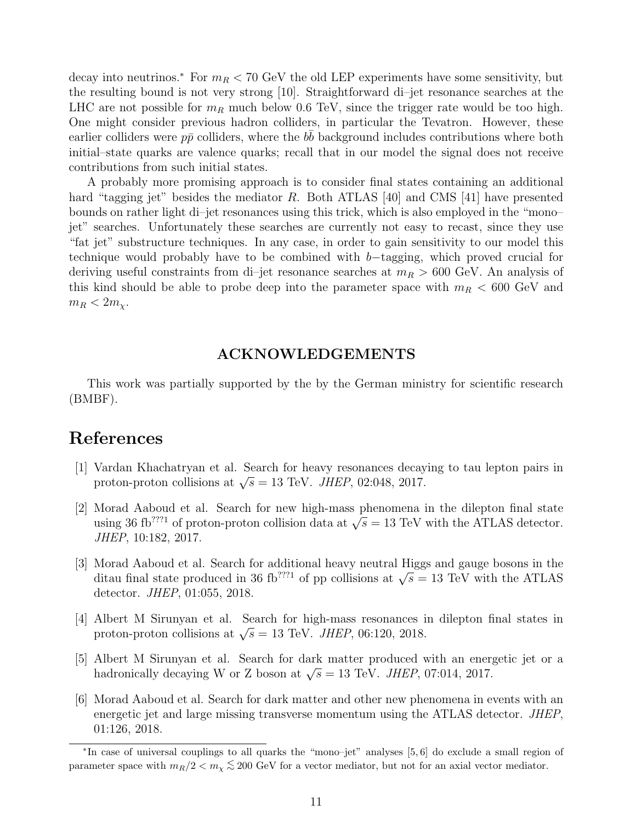decay into neutrinos.\* For  $m_R < 70$  GeV the old LEP experiments have some sensitivity, but the resulting bound is not very strong [\[10\]](#page-12-3). Straightforward di–jet resonance searches at the LHC are not possible for  $m_R$  much below 0.6 TeV, since the trigger rate would be too high. One might consider previous hadron colliders, in particular the Tevatron. However, these earlier colliders were  $p\bar{p}$  colliders, where the  $b\bar{b}$  background includes contributions where both initial–state quarks are valence quarks; recall that in our model the signal does not receive contributions from such initial states.

A probably more promising approach is to consider final states containing an additional hard "tagging jet" besides the mediator R. Both ATLAS [\[40\]](#page-14-2) and CMS [\[41\]](#page-14-3) have presented bounds on rather light di–jet resonances using this trick, which is also employed in the "mono– jet" searches. Unfortunately these searches are currently not easy to recast, since they use "fat jet" substructure techniques. In any case, in order to gain sensitivity to our model this technique would probably have to be combined with b−tagging, which proved crucial for deriving useful constraints from di-jet resonance searches at  $m_R > 600$  GeV. An analysis of this kind should be able to probe deep into the parameter space with  $m_R < 600$  GeV and  $m_R < 2m_\chi$ .

### ACKNOWLEDGEMENTS

This work was partially supported by the by the German ministry for scientific research (BMBF).

# References

- <span id="page-11-0"></span>[1] Vardan Khachatryan et al. Search for heavy resonances decaying to tau lepton pairs in variant Knachatryan et al. Search for heavy resonances decay<br>proton-proton collisions at  $\sqrt{s} = 13$  TeV. *JHEP*, 02:048, 2017.
- [2] Morad Aaboud et al. Search for new high-mass phenomena in the dilepton final state widid Aaboud et al. Search for hew ingn-mass phenomena in the different man state<br>using 36 fb<sup>???1</sup> of proton-proton collision data at  $\sqrt{s} = 13$  TeV with the ATLAS detector. JHEP, 10:182, 2017.
- [3] Morad Aaboud et al. Search for additional heavy neutral Higgs and gauge bosons in the Morad Aaboud et al. Search for additional heavy heutral Higgs and gauge bosons in the ditau final state produced in 36 fb<sup>???1</sup> of pp collisions at  $\sqrt{s} = 13$  TeV with the ATLAS detector. JHEP, 01:055, 2018.
- <span id="page-11-1"></span>[4] Albert M Sirunyan et al. Search for high-mass resonances in dilepton final states in About M Shunyan et al. Search for mgn-mass resonances is<br>proton-proton collisions at  $\sqrt{s} = 13$  TeV. *JHEP*, 06:120, 2018.
- <span id="page-11-2"></span>[5] Albert M Sirunyan et al. Search for dark matter produced with an energetic jet or a About M Shunyan et al. Search for dark matter produced with an energy hadronically decaying W or Z boson at  $\sqrt{s} = 13$  TeV. *JHEP*, 07:014, 2017.
- <span id="page-11-3"></span>[6] Morad Aaboud et al. Search for dark matter and other new phenomena in events with an energetic jet and large missing transverse momentum using the ATLAS detector. *JHEP*, 01:126, 2018.

<span id="page-11-4"></span><sup>∗</sup> In case of universal couplings to all quarks the "mono–jet" analyses [\[5,](#page-11-2) [6\]](#page-11-3) do exclude a small region of parameter space with  $m_R/2 < m_\chi \lesssim 200$  GeV for a vector mediator, but not for an axial vector mediator.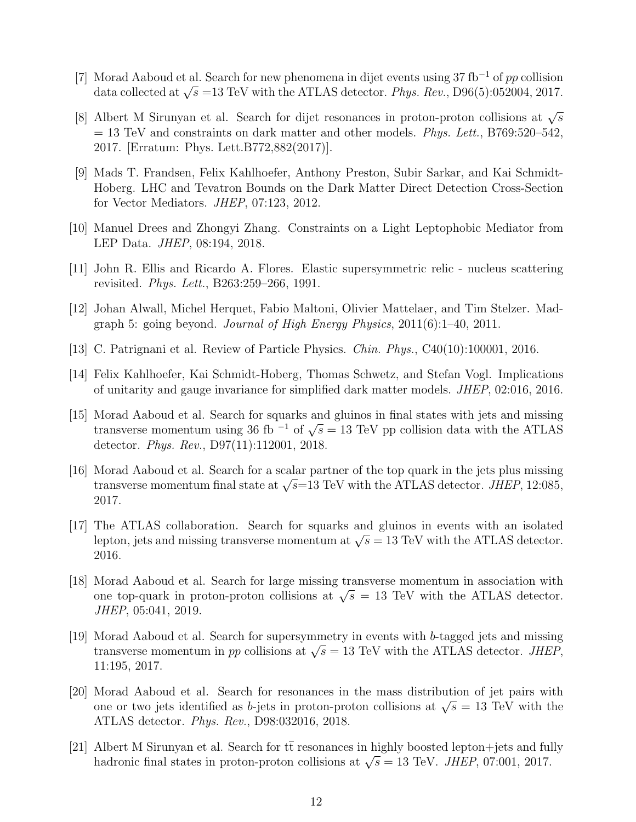- <span id="page-12-0"></span>[7] Morad Aaboud et al. Search for new phenomena in dijet events using 37 fb<sup>-1</sup> of pp collision with an Aaboud et al. Search for hew phenomena in difference using 37 to  $\sim$  or  $pp$  consions data collected at  $\sqrt{s}$  =13 TeV with the ATLAS detector. *Phys. Rev.*, D96(5):052004, 2017.
- <span id="page-12-1"></span>[8] Albert M Sirunyan et al. Search for dijet resonances in proton-proton collisions at  $\sqrt{s}$  $= 13$  TeV and constraints on dark matter and other models. *Phys. Lett.*, B769:520–542, 2017. [Erratum: Phys. Lett.B772,882(2017)].
- <span id="page-12-2"></span>[9] Mads T. Frandsen, Felix Kahlhoefer, Anthony Preston, Subir Sarkar, and Kai Schmidt-Hoberg. LHC and Tevatron Bounds on the Dark Matter Direct Detection Cross-Section for Vector Mediators. JHEP, 07:123, 2012.
- <span id="page-12-3"></span>[10] Manuel Drees and Zhongyi Zhang. Constraints on a Light Leptophobic Mediator from LEP Data. JHEP, 08:194, 2018.
- <span id="page-12-4"></span>[11] John R. Ellis and Ricardo A. Flores. Elastic supersymmetric relic - nucleus scattering revisited. Phys. Lett., B263:259–266, 1991.
- <span id="page-12-5"></span>[12] Johan Alwall, Michel Herquet, Fabio Maltoni, Olivier Mattelaer, and Tim Stelzer. Madgraph 5: going beyond. Journal of High Energy Physics, 2011(6):1–40, 2011.
- <span id="page-12-6"></span>[13] C. Patrignani et al. Review of Particle Physics. Chin. Phys., C40(10):100001, 2016.
- <span id="page-12-7"></span>[14] Felix Kahlhoefer, Kai Schmidt-Hoberg, Thomas Schwetz, and Stefan Vogl. Implications of unitarity and gauge invariance for simplified dark matter models. JHEP, 02:016, 2016.
- <span id="page-12-8"></span>[15] Morad Aaboud et al. Search for squarks and gluinos in final states with jets and missing transverse momentum using 36 fb  $^{-1}$  of  $\sqrt{s} = 13$  TeV pp collision data with the ATLAS detector. Phys. Rev., D97(11):112001, 2018.
- <span id="page-12-14"></span>[16] Morad Aaboud et al. Search for a scalar partner of the top quark in the jets plus missing transverse momentum final state at  $\sqrt{s}$ =13 TeV with the ATLAS detector. *JHEP*, 12:085, 2017.
- <span id="page-12-9"></span>[17] The ATLAS collaboration. Search for squarks and gluinos in events with an isolated The ATLAS conaboration. Search for squarks and gruinos in events with an isolated lepton, jets and missing transverse momentum at  $\sqrt{s} = 13 \text{ TeV}$  with the ATLAS detector. 2016.
- <span id="page-12-10"></span>[18] Morad Aaboud et al. Search for large missing transverse momentum in association with with a search for large missing transverse momentum in association with one top-quark in proton-proton collisions at  $\sqrt{s} = 13$  TeV with the ATLAS detector. JHEP, 05:041, 2019.
- <span id="page-12-11"></span>[19] Morad Aaboud et al. Search for supersymmetry in events with b-tagged jets and missing with a resolution of supersymmetry in events with  $\sigma$ -tagged jets and infissing transverse momentum in  $pp$  collisions at  $\sqrt{s} = 13$  TeV with the ATLAS detector. *JHEP*, 11:195, 2017.
- <span id="page-12-12"></span>[20] Morad Aaboud et al. Search for resonances in the mass distribution of jet pairs with one or two jets identified as b-jets in proton-proton collisions at  $\sqrt{s} = 13$  TeV with the ATLAS detector. Phys. Rev., D98:032016, 2018.
- <span id="page-12-13"></span>[21] Albert M Sirunyan et al. Search for  $t\bar{t}$  resonances in highly boosted lepton+jets and fully About M Shunyan et al. Search for the resonances in inginy boosted repton+jets and full-<br>hadronic final states in proton-proton collisions at  $\sqrt{s} = 13$  TeV. *JHEP*, 07:001, 2017.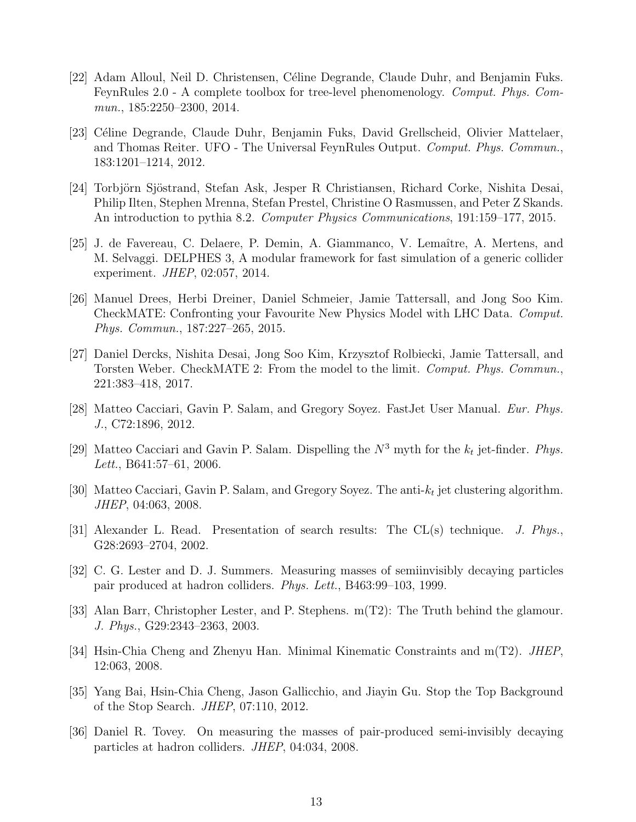- <span id="page-13-0"></span>[22] Adam Alloul, Neil D. Christensen, Céline Degrande, Claude Duhr, and Benjamin Fuks. FeynRules 2.0 - A complete toolbox for tree-level phenomenology. Comput. Phys. Commun., 185:2250–2300, 2014.
- <span id="page-13-1"></span>[23] Céline Degrande, Claude Duhr, Benjamin Fuks, David Grellscheid, Olivier Mattelaer, and Thomas Reiter. UFO - The Universal FeynRules Output. Comput. Phys. Commun., 183:1201–1214, 2012.
- <span id="page-13-2"></span>[24] Torbjörn Sjöstrand, Stefan Ask, Jesper R Christiansen, Richard Corke, Nishita Desai, Philip Ilten, Stephen Mrenna, Stefan Prestel, Christine O Rasmussen, and Peter Z Skands. An introduction to pythia 8.2. Computer Physics Communications, 191:159–177, 2015.
- <span id="page-13-3"></span>[25] J. de Favereau, C. Delaere, P. Demin, A. Giammanco, V. Lemaˆıtre, A. Mertens, and M. Selvaggi. DELPHES 3, A modular framework for fast simulation of a generic collider experiment. JHEP, 02:057, 2014.
- <span id="page-13-4"></span>[26] Manuel Drees, Herbi Dreiner, Daniel Schmeier, Jamie Tattersall, and Jong Soo Kim. CheckMATE: Confronting your Favourite New Physics Model with LHC Data. Comput. Phys. Commun., 187:227–265, 2015.
- <span id="page-13-5"></span>[27] Daniel Dercks, Nishita Desai, Jong Soo Kim, Krzysztof Rolbiecki, Jamie Tattersall, and Torsten Weber. CheckMATE 2: From the model to the limit. Comput. Phys. Commun., 221:383–418, 2017.
- <span id="page-13-6"></span>[28] Matteo Cacciari, Gavin P. Salam, and Gregory Soyez. FastJet User Manual. Eur. Phys. J., C72:1896, 2012.
- [29] Matteo Cacciari and Gavin P. Salam. Dispelling the  $N^3$  myth for the  $k_t$  jet-finder. Phys. Lett., B641:57–61, 2006.
- [30] Matteo Cacciari, Gavin P. Salam, and Gregory Soyez. The anti- $k_t$  jet clustering algorithm. JHEP, 04:063, 2008.
- [31] Alexander L. Read. Presentation of search results: The CL(s) technique. J. Phys., G28:2693–2704, 2002.
- [32] C. G. Lester and D. J. Summers. Measuring masses of semiinvisibly decaying particles pair produced at hadron colliders. Phys. Lett., B463:99–103, 1999.
- [33] Alan Barr, Christopher Lester, and P. Stephens. m(T2): The Truth behind the glamour. J. Phys., G29:2343–2363, 2003.
- [34] Hsin-Chia Cheng and Zhenyu Han. Minimal Kinematic Constraints and m(T2). JHEP, 12:063, 2008.
- [35] Yang Bai, Hsin-Chia Cheng, Jason Gallicchio, and Jiayin Gu. Stop the Top Background of the Stop Search. JHEP, 07:110, 2012.
- [36] Daniel R. Tovey. On measuring the masses of pair-produced semi-invisibly decaying particles at hadron colliders. JHEP, 04:034, 2008.